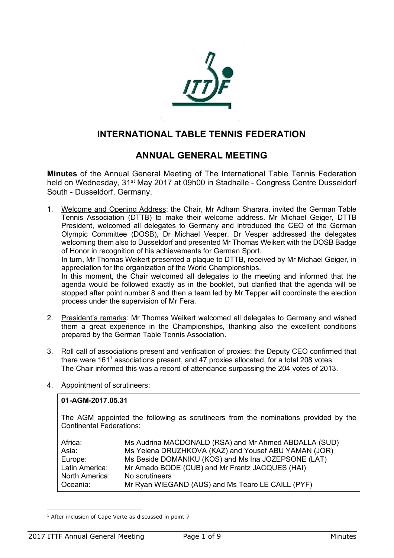

# **INTERNATIONAL TABLE TENNIS FEDERATION**

# **ANNUAL GENERAL MEETING**

**Minutes** of the Annual General Meeting of The International Table Tennis Federation held on Wednesday, 31<sup>st</sup> May 2017 at 09h00 in Stadhalle - Congress Centre Dusseldorf South - Dusseldorf, Germany.

1. Welcome and Opening Address: the Chair, Mr Adham Sharara, invited the German Table Tennis Association (DTTB) to make their welcome address. Mr Michael Geiger, DTTB President, welcomed all delegates to Germany and introduced the CEO of the German Olympic Committee (DOSB), Dr Michael Vesper. Dr Vesper addressed the delegates welcoming them also to Dusseldorf and presented Mr Thomas Weikert with the DOSB Badge of Honor in recognition of his achievements for German Sport.

In turn, Mr Thomas Weikert presented a plaque to DTTB, received by Mr Michael Geiger, in appreciation for the organization of the World Championships.

In this moment, the Chair welcomed all delegates to the meeting and informed that the agenda would be followed exactly as in the booklet, but clarified that the agenda will be stopped after point number 8 and then a team led by Mr Tepper will coordinate the election process under the supervision of Mr Fera.

- 2. President's remarks: Mr Thomas Weikert welcomed all delegates to Germany and wished them a great experience in the Championships, thanking also the excellent conditions prepared by the German Table Tennis Association.
- 3. Roll call of associations present and verification of proxies: the Deputy CEO confirmed that there were 1611 associations present, and 47 proxies allocated, for a total 208 votes. The Chair informed this was a record of attendance surpassing the 204 votes of 2013.
- 4. Appointment of scrutineers:

### **01-AGM-2017.05.31**

The AGM appointed the following as scrutineers from the nominations provided by the Continental Federations:

| Africa:        | Ms Audrina MACDONALD (RSA) and Mr Ahmed ABDALLA (SUD) |
|----------------|-------------------------------------------------------|
| Asia:          | Ms Yelena DRUZHKOVA (KAZ) and Yousef ABU YAMAN (JOR)  |
| Europe:        | Ms Beside DOMANIKU (KOS) and Ms Ina JOZEPSONE (LAT)   |
| Latin America: | Mr Amado BODE (CUB) and Mr Frantz JACQUES (HAI)       |
| North America: | No scrutineers                                        |
| Oceania:       | Mr Ryan WIEGAND (AUS) and Ms Tearo LE CAILL (PYF)     |

<sup>&</sup>lt;sup>1</sup> After inclusion of Cape Verte as discussed in point 7

 $\overline{a}$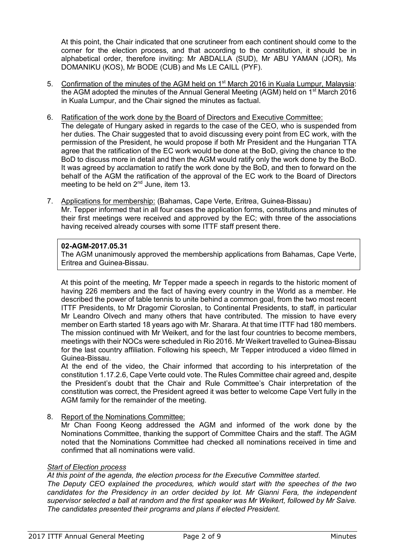At this point, the Chair indicated that one scrutineer from each continent should come to the corner for the election process, and that according to the constitution, it should be in alphabetical order, therefore inviting: Mr ABDALLA (SUD), Mr ABU YAMAN (JOR), Ms DOMANIKU (KOS), Mr BODE (CUB) and Ms LE CAILL (PYF).

- 5. Confirmation of the minutes of the AGM held on 1<sup>st</sup> March 2016 in Kuala Lumpur, Malaysia: the AGM adopted the minutes of the Annual General Meeting (AGM) held on  $1<sup>st</sup>$  March 2016 in Kuala Lumpur, and the Chair signed the minutes as factual.
- 6. Ratification of the work done by the Board of Directors and Executive Committee:
- The delegate of Hungary asked in regards to the case of the CEO, who is suspended from her duties. The Chair suggested that to avoid discussing every point from EC work, with the permission of the President, he would propose if both Mr President and the Hungarian TTA agree that the ratification of the EC work would be done at the BoD, giving the chance to the BoD to discuss more in detail and then the AGM would ratify only the work done by the BoD. It was agreed by acclamation to ratify the work done by the BoD, and then to forward on the behalf of the AGM the ratification of the approval of the EC work to the Board of Directors meeting to be held on 2<sup>nd</sup> June, item 13.
- 7. Applications for membership: (Bahamas, Cape Verte, Eritrea, Guinea-Bissau) Mr. Tepper informed that in all four cases the application forms, constitutions and minutes of their first meetings were received and approved by the EC; with three of the associations having received already courses with some ITTF staff present there.

#### **02-AGM-2017.05.31**

The AGM unanimously approved the membership applications from Bahamas, Cape Verte, Eritrea and Guinea-Bissau.

At this point of the meeting, Mr Tepper made a speech in regards to the historic moment of having 226 members and the fact of having every country in the World as a member. He described the power of table tennis to unite behind a common goal, from the two most recent ITTF Presidents, to Mr Dragomir Cioroslan, to Continental Presidents, to staff, in particular Mr Leandro Olvech and many others that have contributed. The mission to have every member on Earth started 18 years ago with Mr. Sharara. At that time ITTF had 180 members. The mission continued with Mr Weikert, and for the last four countries to become members, meetings with their NOCs were scheduled in Rio 2016. Mr Weikert travelled to Guinea-Bissau for the last country affiliation. Following his speech, Mr Tepper introduced a video filmed in Guinea-Bissau.

At the end of the video, the Chair informed that according to his interpretation of the constitution 1.17.2.6, Cape Verte could vote. The Rules Committee chair agreed and, despite the President's doubt that the Chair and Rule Committee's Chair interpretation of the constitution was correct, the President agreed it was better to welcome Cape Vert fully in the AGM family for the remainder of the meeting.

8. Report of the Nominations Committee:

Mr Chan Foong Keong addressed the AGM and informed of the work done by the Nominations Committee, thanking the support of Committee Chairs and the staff. The AGM noted that the Nominations Committee had checked all nominations received in time and confirmed that all nominations were valid.

## *Start of Election process*

*At this point of the agenda, the election process for the Executive Committee started.*

*The Deputy CEO explained the procedures, which would start with the speeches of the two candidates for the Presidency in an order decided by lot. Mr Gianni Fera, the independent supervisor selected a ball at random and the first speaker was Mr Weikert, followed by Mr Saive. The candidates presented their programs and plans if elected President.*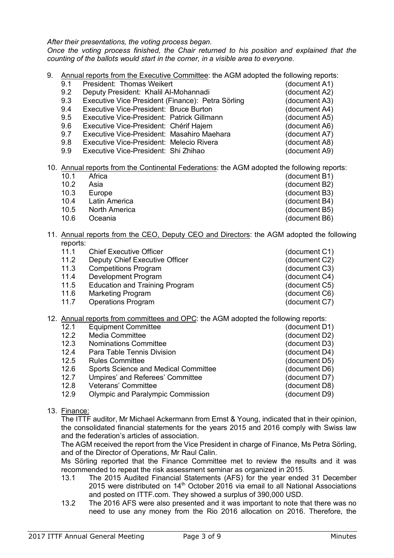*After their presentations, the voting process began.* 

*Once the voting process finished, the Chair returned to his position and explained that the counting of the ballots would start in the corner, in a visible area to everyone.* 

- 9. Annual reports from the Executive Committee: the AGM adopted the following reports:
	- 9.1 President: Thomas Weikert (document A1) 9.2 Deputy President: Khalil Al-Mohannadi (document A2) 9.3 Executive Vice President (Finance): Petra Sörling (document A3) 9.4 Executive Vice-President: Bruce Burton (document A4) 9.5 Executive Vice-President: Patrick Gillmann (document A5) 9.6 Executive Vice-President: Chérif Hajem (document A6)
		- 9.7 Executive Vice-President: Masahiro Maehara (document A7)<br>9.8 Executive Vice-President: Melecio Rivera (document A8)
		- 9.8 Executive Vice-President: Melecio Rivera (document A8)
		- 9.9 Executive Vice-President: Shi Zhihao (document A9)
- 10. Annual reports from the Continental Federations: the AGM adopted the following reports:
	- 10.1 Africa (document B1)<br>10.2 Asia (document B2) 10.2 Asia (document B2)<br>10.3 Europe (document B3) Europe (document B3) 10.4 Latin America (document B4) 10.5 North America (document B5)
	- 10.6 Oceania (document B6)
- 11. Annual reports from the CEO, Deputy CEO and Directors: the AGM adopted the following reports:
	-
	- 11.1 Chief Executive Officer<br>
	11.2 Deputy Chief Executive Officer<br>
	11.2 Deputy Chief Executive Officer<br>
	(document C2) 11.1.2 Deputy Chief Executive Officer (document C2)
	- 11.3 Competitions Program (document C3)
	- 11.4 Development Program (document C4)
	- 11.5 Education and Training Program (document C5)
	- 11.6 Marketing Program (document C6)
	- 11.7 Operations Program (document C7)
- 12. Annual reports from committees and OPC: the AGM adopted the following reports:
	- 12.1 Equipment Committee (document D1) 12.2 Media Committee (document D2) 12.3 Nominations Committee (document D3) 12.4 Para Table Tennis Division (document D4) 12.5 Rules Committee (document D5) 12.6 Sports Science and Medical Committee (document D6) 12.7 Umpires' and Referees' Committee (document D7) 12.8 Veterans' Committee (document D8) 12.9 Olympic and Paralympic Commission (document D9)
- 13. Finance:

The ITTF auditor, Mr Michael Ackermann from Ernst & Young, indicated that in their opinion, the consolidated financial statements for the years 2015 and 2016 comply with Swiss law and the federation's articles of association.

The AGM received the report from the Vice President in charge of Finance, Ms Petra Sörling, and of the Director of Operations, Mr Raul Calin.

Ms Sörling reported that the Finance Committee met to review the results and it was recommended to repeat the risk assessment seminar as organized in 2015.

- 13.1 The 2015 Audited Financial Statements (AFS) for the year ended 31 December 2015 were distributed on  $14<sup>th</sup>$  October 2016 via email to all National Associations and posted on ITTF.com. They showed a surplus of 390,000 USD.
- 13.2 The 2016 AFS were also presented and it was important to note that there was no need to use any money from the Rio 2016 allocation on 2016. Therefore, the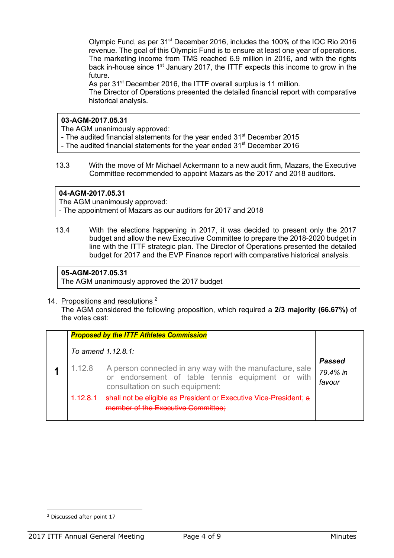Olympic Fund, as per 31st December 2016, includes the 100% of the IOC Rio 2016 revenue. The goal of this Olympic Fund is to ensure at least one year of operations. The marketing income from TMS reached 6.9 million in 2016, and with the rights back in-house since 1<sup>st</sup> January 2017, the ITTF expects this income to grow in the future.

As per 31<sup>st</sup> December 2016, the ITTF overall surplus is 11 million.

The Director of Operations presented the detailed financial report with comparative historical analysis.

## **03-AGM-2017.05.31**

The AGM unanimously approved:

- The audited financial statements for the year ended 31<sup>st</sup> December 2015
- The audited financial statements for the year ended 31<sup>st</sup> December 2016
- 13.3 With the move of Mr Michael Ackermann to a new audit firm, Mazars, the Executive Committee recommended to appoint Mazars as the 2017 and 2018 auditors.

## **04-AGM-2017.05.31**

The AGM unanimously approved:

- The appointment of Mazars as our auditors for 2017 and 2018

13.4 With the elections happening in 2017, it was decided to present only the 2017 budget and allow the new Executive Committee to prepare the 2018-2020 budget in line with the ITTF strategic plan. The Director of Operations presented the detailed budget for 2017 and the EVP Finance report with comparative historical analysis.

## **05-AGM-2017.05.31**

The AGM unanimously approved the 2017 budget

14. Propositions and resolutions<sup>2</sup>

The AGM considered the following proposition, which required a **2/3 majority (66.67%)** of the votes cast:

|                       | <b>Proposed by the ITTF Athletes Commission</b>                                                                                                 |                              |
|-----------------------|-------------------------------------------------------------------------------------------------------------------------------------------------|------------------------------|
| To amend $1.12.8.1$ : |                                                                                                                                                 |                              |
| 1.12.8                | A person connected in any way with the manufacture, sale<br>or endorsement of table tennis equipment or with<br>consultation on such equipment: | Passed<br>79.4% in<br>favour |
|                       | 1.12.8.1 shall not be eligible as President or Executive Vice-President; a<br>member of the Executive Committee:                                |                              |

 $\overline{a}$ <sup>2</sup> Discussed after point 17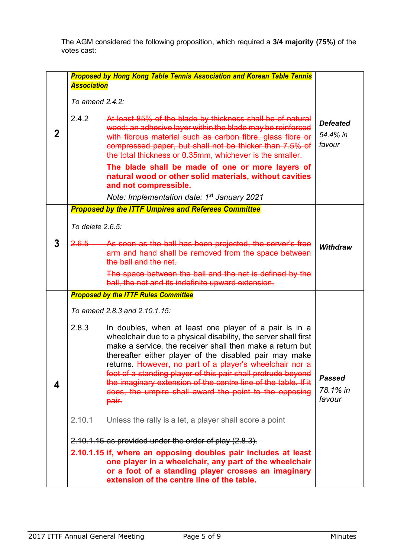The AGM considered the following proposition, which required a **3/4 majority (75%)** of the votes cast:

|   | <b>Proposed by Hong Kong Table Tennis Association and Korean Table Tennis</b><br><b>Association</b>                                                                                                                           |                                                                                                                                                                                                                                                                                                                                                                                                                                                                                                                   |                                       |  |
|---|-------------------------------------------------------------------------------------------------------------------------------------------------------------------------------------------------------------------------------|-------------------------------------------------------------------------------------------------------------------------------------------------------------------------------------------------------------------------------------------------------------------------------------------------------------------------------------------------------------------------------------------------------------------------------------------------------------------------------------------------------------------|---------------------------------------|--|
|   | To amend 2.4.2:                                                                                                                                                                                                               |                                                                                                                                                                                                                                                                                                                                                                                                                                                                                                                   |                                       |  |
| 2 | 2.4.2                                                                                                                                                                                                                         | At least 85% of the blade by thickness shall be of natural<br>wood; an adhesive layer within the blade may be reinforced<br>with fibrous material such as carbon fibre, glass fibre or<br>compressed paper, but shall not be thicker than 7.5% of<br>the total thickness or 0.35mm, whichever is the smaller.                                                                                                                                                                                                     | <b>Defeated</b><br>54.4% in<br>favour |  |
|   |                                                                                                                                                                                                                               | The blade shall be made of one or more layers of<br>natural wood or other solid materials, without cavities<br>and not compressible.<br>Note: Implementation date: 1 <sup>st</sup> January 2021                                                                                                                                                                                                                                                                                                                   |                                       |  |
|   |                                                                                                                                                                                                                               | <b>Proposed by the ITTF Umpires and Referees Committee</b>                                                                                                                                                                                                                                                                                                                                                                                                                                                        |                                       |  |
|   | To delete 2.6.5:                                                                                                                                                                                                              |                                                                                                                                                                                                                                                                                                                                                                                                                                                                                                                   |                                       |  |
| 3 | 2.6.5                                                                                                                                                                                                                         | As soon as the ball has been projected, the server's free<br>arm and hand shall be removed from the space between<br>the ball and the net.                                                                                                                                                                                                                                                                                                                                                                        | <b>Withdraw</b>                       |  |
|   |                                                                                                                                                                                                                               | The space between the ball and the net is defined by the<br>ball, the net and its indefinite upward extension.                                                                                                                                                                                                                                                                                                                                                                                                    |                                       |  |
|   |                                                                                                                                                                                                                               | <b>Proposed by the ITTF Rules Committee</b>                                                                                                                                                                                                                                                                                                                                                                                                                                                                       |                                       |  |
|   |                                                                                                                                                                                                                               | To amend 2.8.3 and 2.10.1.15:                                                                                                                                                                                                                                                                                                                                                                                                                                                                                     |                                       |  |
| 4 | 2.8.3                                                                                                                                                                                                                         | In doubles, when at least one player of a pair is in a<br>wheelchair due to a physical disability, the server shall first<br>make a service, the receiver shall then make a return but<br>thereafter either player of the disabled pair may make<br>returns. However, no part of a player's wheelchair nor a<br>foot of a standing player of this pair shall protrude beyond<br>the imaginary extension of the centre line of the table. If it<br>does, the umpire shall award the point to the opposing<br>pair. | Passed<br>78.1% in<br>favour          |  |
|   | 2.10.1                                                                                                                                                                                                                        | Unless the rally is a let, a player shall score a point                                                                                                                                                                                                                                                                                                                                                                                                                                                           |                                       |  |
|   |                                                                                                                                                                                                                               | 2.10.1.15 as provided under the order of play (2.8.3).                                                                                                                                                                                                                                                                                                                                                                                                                                                            |                                       |  |
|   | 2.10.1.15 if, where an opposing doubles pair includes at least<br>one player in a wheelchair, any part of the wheelchair<br>or a foot of a standing player crosses an imaginary<br>extension of the centre line of the table. |                                                                                                                                                                                                                                                                                                                                                                                                                                                                                                                   |                                       |  |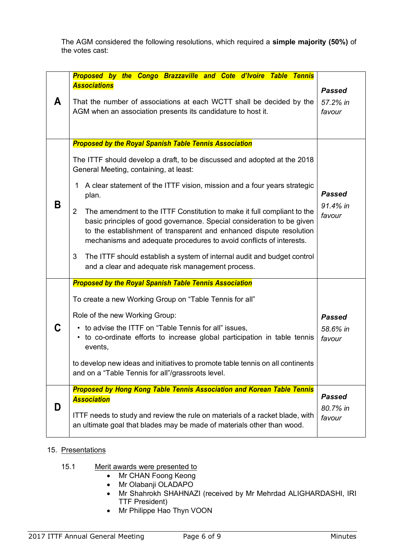The AGM considered the following resolutions, which required a **simple majority (50%)** of the votes cast:

|   | Proposed by the Congo Brazzaville and Cote d'Ivoire Table Tennis                                                                                                                                                                                                                                                  |                                     |
|---|-------------------------------------------------------------------------------------------------------------------------------------------------------------------------------------------------------------------------------------------------------------------------------------------------------------------|-------------------------------------|
| A | <b>Associations</b><br>That the number of associations at each WCTT shall be decided by the<br>AGM when an association presents its candidature to host it.                                                                                                                                                       | <b>Passed</b><br>57.2% in<br>favour |
|   | <b>Proposed by the Royal Spanish Table Tennis Association</b>                                                                                                                                                                                                                                                     |                                     |
|   | The ITTF should develop a draft, to be discussed and adopted at the 2018<br>General Meeting, containing, at least:                                                                                                                                                                                                |                                     |
|   | A clear statement of the ITTF vision, mission and a four years strategic<br>1<br>plan.                                                                                                                                                                                                                            | <b>Passed</b>                       |
| Β | $\overline{2}$<br>The amendment to the ITTF Constitution to make it full compliant to the<br>basic principles of good governance. Special consideration to be given<br>to the establishment of transparent and enhanced dispute resolution<br>mechanisms and adequate procedures to avoid conflicts of interests. | 91.4% in<br>favour                  |
|   | 3<br>The ITTF should establish a system of internal audit and budget control<br>and a clear and adequate risk management process.                                                                                                                                                                                 |                                     |
|   | <b>Proposed by the Royal Spanish Table Tennis Association</b>                                                                                                                                                                                                                                                     |                                     |
|   | To create a new Working Group on "Table Tennis for all"                                                                                                                                                                                                                                                           |                                     |
|   | Role of the new Working Group:<br>• to advise the ITTF on "Table Tennis for all" issues,<br>• to co-ordinate efforts to increase global participation in table tennis<br>events,                                                                                                                                  | <b>Passed</b><br>58.6% in<br>favour |
|   | to develop new ideas and initiatives to promote table tennis on all continents<br>and on a "Table Tennis for all"/grassroots level.                                                                                                                                                                               |                                     |
|   | <b>Proposed by Hong Kong Table Tennis Association and Korean Table Tennis</b><br><b>Association</b>                                                                                                                                                                                                               | <b>Passed</b>                       |
| D | ITTF needs to study and review the rule on materials of a racket blade, with<br>an ultimate goal that blades may be made of materials other than wood.                                                                                                                                                            | 80.7% in<br>favour                  |

## 15. Presentations

- 15.1 Merit awards were presented to
	- Mr CHAN Foong Keong
	- Mr Olabanji OLADAPO
	- Mr Shahrokh SHAHNAZI (received by Mr Mehrdad ALIGHARDASHI, IRI TTF President)
	- Mr Philippe Hao Thyn VOON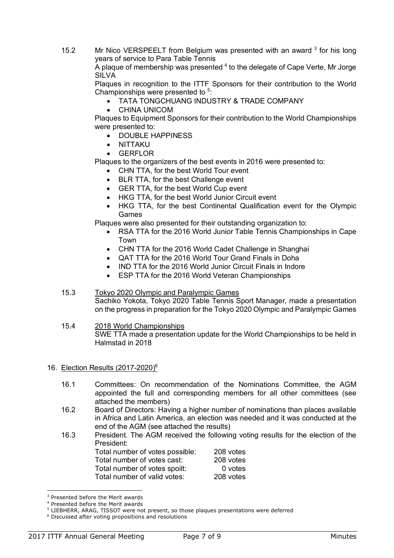15.2 Mr Nico VERSPEELT from Belgium was presented with an award  $3$  for his long years of service to Para Table Tennis

A plaque of membership was presented  $4$  to the delegate of Cape Verte, Mr Jorge SILVA

Plaques in recognition to the ITTF Sponsors for their contribution to the World Championships were presented to  $5$ :

- TATA TONGCHUANG INDUSTRY & TRADE COMPANY
- CHINA UNICOM

Plaques to Equipment Sponsors for their contribution to the World Championships were presented to:

- DOUBLE HAPPINESS
- NITTAKU
- **GERFLOR**

Plaques to the organizers of the best events in 2016 were presented to:

- CHN TTA, for the best World Tour event
- BLR TTA, for the best Challenge event
- GER TTA, for the best World Cup event
- HKG TTA, for the best World Junior Circuit event
- HKG TTA, for the best Continental Qualification event for the Olympic Games

Plaques were also presented for their outstanding organization to:

- RSA TTA for the 2016 World Junior Table Tennis Championships in Cape Town
- CHN TTA for the 2016 World Cadet Challenge in Shanghai
- QAT TTA for the 2016 World Tour Grand Finals in Doha
- IND TTA for the 2016 World Junior Circuit Finals in Indore
- ESP TTA for the 2016 World Veteran Championships

### 15.3 Tokyo 2020 Olympic and Paralympic Games Sachiko Yokota, Tokyo 2020 Table Tennis Sport Manager, made a presentation on the progress in preparation for the Tokyo 2020 Olympic and Paralympic Games

15.4 2018 World Championships SWE TTA made a presentation update for the World Championships to be held in Halmstad in 2018

### 16. Election Results (2017-2020)6

- 16.1 Committees: On recommendation of the Nominations Committee, the AGM appointed the full and corresponding members for all other committees (see attached the members)
- 16.2 Board of Directors: Having a higher number of nominations than places available in Africa and Latin America, an election was needed and it was conducted at the end of the AGM (see attached the results)
- 16.3 President. The AGM received the following voting results for the election of the President:

| Total number of votes possible: | 208 votes |
|---------------------------------|-----------|
| Total number of votes cast:     | 208 votes |
| Total number of votes spoilt:   | 0 votes   |
| Total number of valid votes:    | 208 votes |

<sup>&</sup>lt;sup>3</sup> Presented before the Merit awards

l

<sup>4</sup> Presented before the Merit awards

<sup>&</sup>lt;sup>5</sup> LIEBHERR, ARAG, TISSOT were not present, so those plaques presentations were deferred

<sup>6</sup> Discussed after voting propositions and resolutions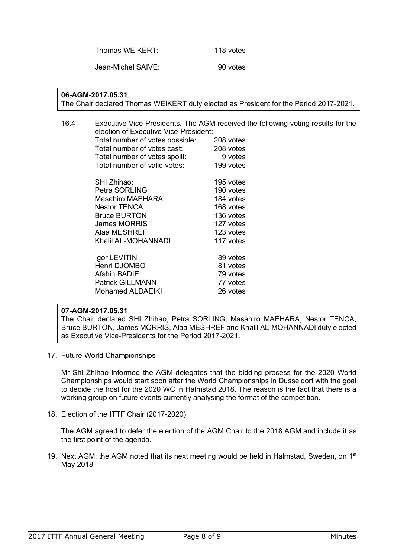Thomas WEIKERT: 118 votes

Jean-Michel SAIVE: 90 votes

## **06-AGM-2017.05.31**

The Chair declared Thomas WEIKERT duly elected as President for the Period 2017-2021.

| 16.4 | election of Executive Vice-President: | Executive Vice-Presidents. The AGM received the following voting results for the |
|------|---------------------------------------|----------------------------------------------------------------------------------|
|      | Total number of votes possible:       | 208 votes                                                                        |
|      | Total number of votes cast:           | 208 votes                                                                        |
|      | Total number of votes spoilt:         | 9 votes                                                                          |
|      | Total number of valid votes:          | 199 votes                                                                        |
|      | SHI Zhihao:                           | 195 votes                                                                        |
|      | Petra SORLING                         | 190 votes                                                                        |
|      | Masahiro MAEHARA                      | 184 votes                                                                        |
|      | <b>Nestor TENCA</b>                   | 168 votes                                                                        |
|      | <b>Bruce BURTON</b>                   | 136 votes                                                                        |
|      | <b>James MORRIS</b>                   | 127 votes                                                                        |
|      | Alaa MESHREF                          | 123 votes                                                                        |
|      | Khalil AL-MOHANNADI                   | 117 votes                                                                        |
|      | Igor LEVITIN                          | 89 votes                                                                         |
|      | Henri DJOMBO                          | 81 votes                                                                         |
|      | <b>Afshin BADIE</b>                   | 79 votes                                                                         |
|      | <b>Patrick GILLMANN</b>               | 77 votes                                                                         |
|      | <b>Mohamed ALDAEIKI</b>               | 26 votes                                                                         |

### **07-AGM-2017.05.31**

The Chair declared SHI Zhihao, Petra SORLING, Masahiro MAEHARA, Nestor TENCA, Bruce BURTON, James MORRIS, Alaa MESHREF and Khalil AL-MOHANNADI duly elected as Executive Vice-Presidents for the Period 2017-2021.

17. Future World Championships

Mr Shi Zhihao informed the AGM delegates that the bidding process for the 2020 World Championships would start soon after the World Championships in Dusseldorf with the goal to decide the host for the 2020 WC in Halmstad 2018. The reason is the fact that there is a working group on future events currently analysing the format of the competition.

18. Election of the ITTF Chair (2017-2020)

The AGM agreed to defer the election of the AGM Chair to the 2018 AGM and include it as the first point of the agenda.

19. Next AGM: the AGM noted that its next meeting would be held in Halmstad, Sweden, on 1<sup>st</sup> May 2018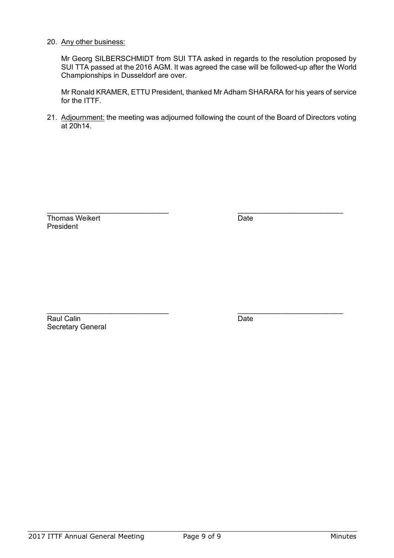#### 20. Any other business:

Mr Georg SILBERSCHMIDT from SUI TTA asked in regards to the resolution proposed by SUI TTA passed at the 2016 AGM. It was agreed the case will be followed-up after the World Championships in Dusseldorf are over.

Mr Ronald KRAMER, ETTU President, thanked Mr Adham SHARARA for his years of service for the ITTF.

21. Adjournment: the meeting was adjourned following the count of the Board of Directors voting at 20h14.

\_\_\_\_\_\_\_\_\_\_\_\_\_\_\_\_\_\_\_\_\_\_\_\_\_\_\_\_\_\_ \_\_\_\_\_\_\_\_\_\_\_\_\_\_\_\_\_\_\_\_\_\_\_\_\_\_

| <b>Thomas Weikert</b> | Date |
|-----------------------|------|
| President             |      |

Raul Calin Date Secretary General

\_\_\_\_\_\_\_\_\_\_\_\_\_\_\_\_\_\_\_\_\_\_\_\_\_\_\_\_\_\_ \_\_\_\_\_\_\_\_\_\_\_\_\_\_\_\_\_\_\_\_\_\_\_\_\_\_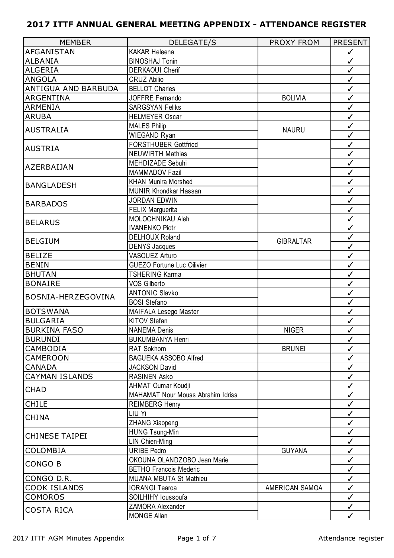| <b>MEMBER</b>         | <b>DELEGATE/S</b>                        | <b>PROXY FROM</b> | <b>PRESENT</b> |
|-----------------------|------------------------------------------|-------------------|----------------|
| AFGANISTAN            | <b>KAKAR Heleena</b>                     |                   | $\checkmark$   |
| <b>ALBANIA</b>        | <b>BINOSHAJ Tonin</b>                    |                   | $\checkmark$   |
| <b>ALGERIA</b>        | <b>DERKAOUI Cherif</b>                   |                   | $\checkmark$   |
| <b>ANGOLA</b>         | <b>CRUZ Abilio</b>                       |                   | $\checkmark$   |
| ANTIGUA AND BARBUDA   | <b>BELLOT Charles</b>                    |                   | $\checkmark$   |
| <b>ARGENTINA</b>      | JOFFRE Fernando                          | <b>BOLIVIA</b>    | $\checkmark$   |
| <b>ARMENIA</b>        | <b>SARGSYAN Feliks</b>                   |                   | $\checkmark$   |
| <b>ARUBA</b>          | <b>HELMEYER Oscar</b>                    |                   | $\checkmark$   |
|                       | <b>MALES Philip</b>                      |                   | $\checkmark$   |
| <b>AUSTRALIA</b>      | WIEGAND Ryan                             | <b>NAURU</b>      | $\checkmark$   |
|                       | <b>FORSTHUBER Gottfried</b>              |                   | $\checkmark$   |
| <b>AUSTRIA</b>        | <b>NEUWIRTH Mathias</b>                  |                   | $\checkmark$   |
|                       | MEHDIZADE Sebuhi                         |                   | $\checkmark$   |
| AZERBAIJAN            | MAMMADOV Fazil                           |                   | $\checkmark$   |
|                       | <b>KHAN Munira Morshed</b>               |                   | $\checkmark$   |
| <b>BANGLADESH</b>     | <b>MUNIR Khondkar Hassan</b>             |                   | $\checkmark$   |
|                       | <b>JORDAN EDWIN</b>                      |                   | $\checkmark$   |
| <b>BARBADOS</b>       | <b>FELIX Marguerita</b>                  |                   | $\checkmark$   |
|                       | MOLOCHNIKAU Aleh                         |                   | $\checkmark$   |
| <b>BELARUS</b>        | <b>IVANENKO Piotr</b>                    |                   | $\checkmark$   |
|                       | <b>DELHOUX Roland</b>                    |                   | $\checkmark$   |
| <b>BELGIUM</b>        | <b>DENYS Jacques</b>                     | <b>GIBRALTAR</b>  | $\checkmark$   |
| <b>BELIZE</b>         | VASQUEZ Arturo                           |                   | $\checkmark$   |
| <b>BENIN</b>          | <b>GUEZO Fortune Luc Oilivier</b>        |                   | $\checkmark$   |
| <b>BHUTAN</b>         | <b>TSHERING Karma</b>                    |                   | $\checkmark$   |
| <b>BONAIRE</b>        | <b>VOS Gilberto</b>                      |                   | $\checkmark$   |
|                       | <b>ANTONIC Slavko</b>                    |                   | $\checkmark$   |
| BOSNIA-HERZEGOVINA    | <b>BOSI Stefano</b>                      |                   | $\checkmark$   |
| <b>BOTSWANA</b>       | MAIFALA Lesego Master                    |                   | $\checkmark$   |
| <b>BULGARIA</b>       | KITOV Stefan                             |                   | $\checkmark$   |
| <b>BURKINA FASO</b>   | <b>NANEMA Denis</b>                      | <b>NIGER</b>      | ✓              |
| <b>BURUNDI</b>        | <b>BUKUMBANYA Henri</b>                  |                   | $\checkmark$   |
| CAMBODIA              | RAT Sokhorn                              | <b>BRUNEI</b>     | $\checkmark$   |
| <b>CAMEROON</b>       | BAGUEKA ASSOBO Alfred                    |                   | $\checkmark$   |
| <b>CANADA</b>         | <b>JACKSON David</b>                     |                   | $\checkmark$   |
| <b>CAYMAN ISLANDS</b> | <b>RASINEN Asko</b>                      |                   | $\checkmark$   |
| <b>CHAD</b>           | AHMAT Oumar Koudji                       |                   | $\checkmark$   |
|                       | <b>MAHAMAT Nour Mouss Abrahim Idriss</b> |                   | $\checkmark$   |
| <b>CHILE</b>          | <b>REIMBERG Henry</b>                    |                   | $\checkmark$   |
| <b>CHINA</b>          | LIU Yi                                   |                   | $\checkmark$   |
|                       | <b>ZHANG Xiaopeng</b>                    |                   | $\checkmark$   |
| <b>CHINESE TAIPEI</b> | <b>HUNG Tsung-Min</b>                    |                   | $\checkmark$   |
|                       | LIN Chien-Ming                           |                   | $\checkmark$   |
| COLOMBIA              | <b>URIBE Pedro</b>                       | <b>GUYANA</b>     | $\checkmark$   |
| CONGO B               | OKOUNA OLANDZOBO Jean Marie              |                   | $\checkmark$   |
|                       | <b>BETHO Francois Mederic</b>            |                   | $\checkmark$   |
| CONGO D.R.            | <b>MUANA MBUTA St Mathieu</b>            |                   | $\checkmark$   |
| <b>COOK ISLANDS</b>   | <b>IORANGI Tearoa</b>                    | AMERICAN SAMOA    | $\checkmark$   |
| <b>COMOROS</b>        | SOILHIHY loussoufa                       |                   | $\checkmark$   |
| <b>COSTA RICA</b>     | ZAMORA Alexander                         |                   | $\checkmark$   |
|                       | <b>MONGE Allan</b>                       |                   | $\checkmark$   |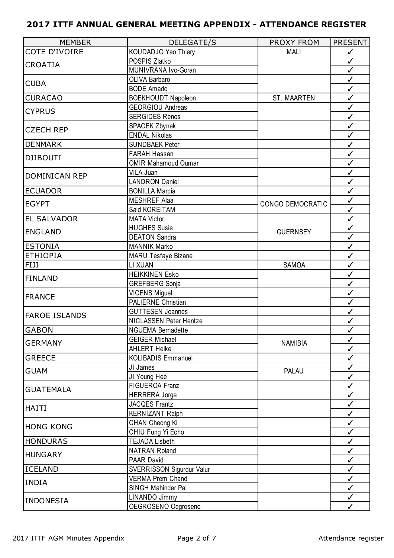| <b>MEMBER</b>        | <b>DELEGATE/S</b>             | PROXY FROM              | <b>PRESENT</b> |
|----------------------|-------------------------------|-------------------------|----------------|
| COTE D'IVOIRE        | KOUDADJO Yao Thiery           | <b>MALI</b>             | $\checkmark$   |
| <b>CROATIA</b>       | POSPIS Zlatko                 |                         | $\checkmark$   |
|                      | MUNIVRANA Ivo-Goran           |                         | $\checkmark$   |
| <b>CUBA</b>          | OLIVA Barbaro                 |                         | $\checkmark$   |
|                      | <b>BODE Amado</b>             |                         | $\checkmark$   |
| <b>CURACAO</b>       | <b>BOEKHOUDT Napoleon</b>     | <b>ST. MAARTEN</b>      | $\checkmark$   |
| <b>CYPRUS</b>        | <b>GEORGIOU Andreas</b>       |                         | $\checkmark$   |
|                      | <b>SERGIDES Renos</b>         |                         | $\checkmark$   |
| <b>CZECH REP</b>     | <b>SPACEK Zbynek</b>          |                         | $\checkmark$   |
|                      | <b>ENDAL Nikolas</b>          |                         | $\checkmark$   |
| <b>DENMARK</b>       | <b>SUNDBAEK Peter</b>         |                         | $\checkmark$   |
| <b>DJIBOUTI</b>      | FARAH Hassan                  |                         | $\checkmark$   |
|                      | <b>OMIR Mahamoud Oumar</b>    |                         | $\checkmark$   |
| <b>DOMINICAN REP</b> | VILA Juan                     |                         | $\checkmark$   |
|                      | <b>LANDRON Daniel</b>         |                         | $\checkmark$   |
| <b>ECUADOR</b>       | <b>BONILLA Marcia</b>         |                         | $\checkmark$   |
| <b>EGYPT</b>         | <b>MESHREF Alaa</b>           | <b>CONGO DEMOCRATIC</b> | $\checkmark$   |
|                      | Said KOREITAM                 |                         | $\checkmark$   |
| <b>EL SALVADOR</b>   | <b>MATA Victor</b>            |                         | $\checkmark$   |
| <b>ENGLAND</b>       | <b>HUGHES Susie</b>           | <b>GUERNSEY</b>         | $\checkmark$   |
|                      | <b>DEATON Sandra</b>          |                         | $\checkmark$   |
| <b>ESTONIA</b>       | <b>MANNIK Marko</b>           |                         | $\checkmark$   |
| <b>ETHIOPIA</b>      | <b>MARU Tesfaye Bizane</b>    |                         | $\checkmark$   |
| FIJI                 | LI XUAN                       | <b>SAMOA</b>            | $\checkmark$   |
| <b>FINLAND</b>       | <b>HEIKKINEN Esko</b>         |                         | $\checkmark$   |
|                      | <b>GREFBERG</b> Sonja         |                         | $\checkmark$   |
| <b>FRANCE</b>        | <b>VICENS Miguel</b>          |                         | $\checkmark$   |
|                      | <b>PALIERNE Christian</b>     |                         | ✓              |
| <b>FAROE ISLANDS</b> | <b>GUTTESEN Joannes</b>       |                         | $\checkmark$   |
|                      | <b>NICLASSEN Peter Hentze</b> |                         | ✓              |
| <b>GABON</b>         | <b>NGUEMA Bernadette</b>      |                         | ✓              |
| <b>GERMANY</b>       | <b>GEIGER Michael</b>         | <b>NAMIBIA</b>          | ✓              |
|                      | <b>AHLERT Heike</b>           |                         | ✓              |
| <b>GREECE</b>        | <b>KOLIBADIS Emmanuel</b>     |                         | $\checkmark$   |
| <b>GUAM</b>          | JI James                      | <b>PALAU</b>            | ✓              |
|                      | JI Young Hee                  |                         | $\checkmark$   |
| <b>GUATEMALA</b>     | FIGUEROA Franz                |                         | ✓              |
|                      | <b>HERRERA Jorge</b>          |                         | ✓              |
| <b>HAITI</b>         | <b>JACQES Frantz</b>          |                         | ✓              |
|                      | <b>KERNIZANT Ralph</b>        |                         | $\checkmark$   |
| <b>HONG KONG</b>     | CHAN Cheong Ki                |                         | ✓              |
|                      | CHIU Fung Yi Echo             |                         | $\checkmark$   |
| <b>HONDURAS</b>      | <b>TEJADA Lisbeth</b>         |                         | ✓              |
| <b>HUNGARY</b>       | <b>NATRAN Roland</b>          |                         | ✓              |
|                      | PAAR David                    |                         | ✓              |
| <b>ICELAND</b>       | SVERRISSON Sigurdur Valur     |                         | $\checkmark$   |
| <b>INDIA</b>         | <b>VERMA Prem Chand</b>       |                         | ✓              |
|                      | SINGH Mahinder Pal            |                         | $\checkmark$   |
| <b>INDONESIA</b>     | LINANDO Jimmy                 |                         | ✓              |
|                      | OEGROSENO Oegroseno           |                         | ✓              |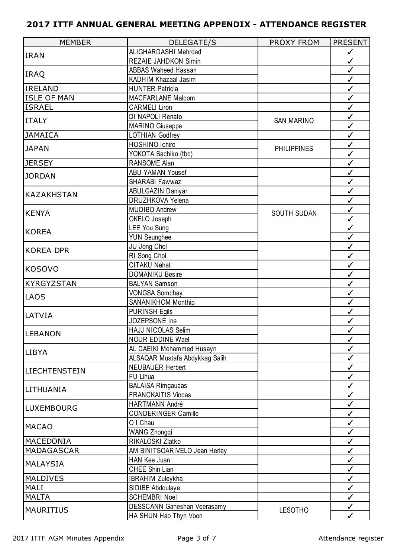| <b>MEMBER</b>        | <b>DELEGATE/S</b>                  | PROXY FROM         | <b>PRESENT</b> |
|----------------------|------------------------------------|--------------------|----------------|
|                      | ALIGHARDASHI Mehrdad               |                    | $\checkmark$   |
| <b>IRAN</b>          | REZAIE JAHDKON Simin               |                    | $\checkmark$   |
|                      | <b>ABBAS Waheed Hassan</b>         |                    | $\checkmark$   |
| <b>IRAQ</b>          | KADHIM Khazaal Jasim               |                    | $\checkmark$   |
| <b>IRELAND</b>       | <b>HUNTER Patricia</b>             |                    | $\checkmark$   |
| <b>ISLE OF MAN</b>   | <b>MACFARLANE Malcom</b>           |                    | $\checkmark$   |
| <b>ISRAEL</b>        | <b>CARMELI Liron</b>               |                    | $\checkmark$   |
| <b>ITALY</b>         | DI NAPOLI Renato                   | <b>SAN MARINO</b>  | $\checkmark$   |
|                      | <b>MARINO Giuseppe</b>             |                    | $\checkmark$   |
| <b>JAMAICA</b>       | <b>LOTHIAN Godfrey</b>             |                    | $\checkmark$   |
| <b>JAPAN</b>         | HOSHINO Ichiro                     | <b>PHILIPPINES</b> | $\checkmark$   |
|                      | YOKOTA Sachiko (tbc)               |                    | $\checkmark$   |
| <b>JERSEY</b>        | RANSOME Alan                       |                    | $\checkmark$   |
| <b>JORDAN</b>        | ABU-YAMAN Yousef                   |                    | $\checkmark$   |
|                      | SHARABI Fawwaz                     |                    | $\checkmark$   |
| <b>KAZAKHSTAN</b>    | ABULGAZIN Daniyar                  |                    | ✓              |
|                      | <b>DRUZHKOVA Yelena</b>            |                    | $\checkmark$   |
| <b>KENYA</b>         | <b>MUDIBO Andrew</b>               |                    | $\checkmark$   |
|                      | OKELO Joseph                       | <b>SOUTH SUDAN</b> | $\checkmark$   |
| <b>KOREA</b>         | <b>LEE You Sung</b>                |                    | $\checkmark$   |
|                      | <b>YUN Seunghee</b>                |                    | $\checkmark$   |
| <b>KOREA DPR</b>     | JU Jong Chol                       |                    | $\checkmark$   |
|                      | RI Song Chol                       |                    | $\checkmark$   |
|                      | <b>CITAKU Nehat</b>                |                    | $\checkmark$   |
| <b>KOSOVO</b>        | <b>DOMANIKU Besire</b>             |                    | $\checkmark$   |
| KYRGYZSTAN           | <b>BALYAN Samson</b>               |                    | $\checkmark$   |
| <b>LAOS</b>          | <b>VONGSA Somchay</b>              |                    | $\checkmark$   |
|                      | <b>SANANIKHOM Monthip</b>          |                    | $\checkmark$   |
| LATVIA               | <b>PURINSH Egils</b>               |                    | $\checkmark$   |
|                      | JOZEPSONE Ina                      |                    | ✓              |
| <b>LEBANON</b>       | HAJJ NICOLAS Selim                 |                    | ✓              |
|                      | <b>NOUR EDDINE Wael</b>            |                    | ✓              |
| <b>LIBYA</b>         | AL DAEIKI Mohammed Husayn          |                    | ✓              |
|                      | ALSAQAR Mustafa Abdykkag Salih     |                    | $\checkmark$   |
| <b>LIECHTENSTEIN</b> | <b>NEUBAUER Herbert</b>            |                    | $\checkmark$   |
|                      | FU Lihua                           |                    | $\checkmark$   |
| LITHUANIA            | <b>BALAISA Rimgaudas</b>           |                    | ✓              |
|                      | <b>FRANCKAITIS Vincas</b>          |                    | ✓              |
| <b>LUXEMBOURG</b>    | <b>HARTMANN André</b>              |                    | ✓              |
|                      | <b>CONDERINGER Camille</b>         |                    | $\checkmark$   |
| <b>MACAO</b>         | O I Chau                           |                    | ✓              |
|                      | <b>WANG Zhongqi</b>                |                    | $\checkmark$   |
| MACEDONIA            | RIKALOSKI Zlatko                   |                    | ✓              |
| MADAGASCAR           | AM BINITSOARIVELO Jean Herley      |                    | ✓              |
| <b>MALAYSIA</b>      | HAN Kee Juan                       |                    | ✓              |
|                      | CHEE Shin Lian                     |                    | $\checkmark$   |
| <b>MALDIVES</b>      | <b>IBRAHIM Zuleykha</b>            |                    | ✓              |
| MALI                 | SIDIBE Abdoulaye                   |                    | $\checkmark$   |
| <b>MALTA</b>         | <b>SCHEMBRI Noel</b>               |                    | ✓              |
| <b>MAURITIUS</b>     | <b>DESSCANN Ganeshan Veerasamy</b> | <b>LESOTHO</b>     | ✓              |
|                      | HA SHUN Hao Thyn Voon              |                    | ✓              |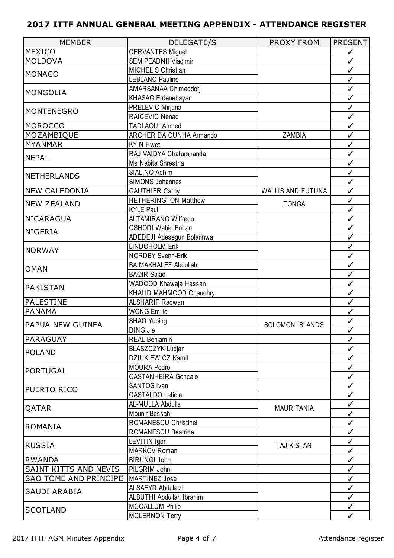| <b>MEMBER</b>                                                                                                                                                                                                                                                                                                                                                                                                                  | <b>DELEGATE/S</b>           | PROXY FROM             | <b>PRESENT</b> |
|--------------------------------------------------------------------------------------------------------------------------------------------------------------------------------------------------------------------------------------------------------------------------------------------------------------------------------------------------------------------------------------------------------------------------------|-----------------------------|------------------------|----------------|
| <b>MEXICO</b>                                                                                                                                                                                                                                                                                                                                                                                                                  | <b>CERVANTES Miguel</b>     |                        | $\checkmark$   |
| <b>MOLDOVA</b>                                                                                                                                                                                                                                                                                                                                                                                                                 | SEMIPEADNII Vladimir        |                        | $\checkmark$   |
|                                                                                                                                                                                                                                                                                                                                                                                                                                | <b>MICHELIS Christian</b>   |                        | $\checkmark$   |
| <b>MONACO</b>                                                                                                                                                                                                                                                                                                                                                                                                                  | <b>LEBLANC Pauline</b>      |                        | $\checkmark$   |
|                                                                                                                                                                                                                                                                                                                                                                                                                                | AMARSANAA Chimeddorj        |                        | $\checkmark$   |
|                                                                                                                                                                                                                                                                                                                                                                                                                                | <b>KHASAG Erdenebayar</b>   |                        | $\checkmark$   |
|                                                                                                                                                                                                                                                                                                                                                                                                                                | PRELEVIC Mirjana            |                        | $\checkmark$   |
|                                                                                                                                                                                                                                                                                                                                                                                                                                | RAICEVIC Nenad              |                        | $\checkmark$   |
|                                                                                                                                                                                                                                                                                                                                                                                                                                | <b>TADLAOUI Ahmed</b>       |                        | $\checkmark$   |
|                                                                                                                                                                                                                                                                                                                                                                                                                                | ARCHER DA CUNHA Armando     | ZAMBIA                 | ✓              |
| <b>MYANMAR</b>                                                                                                                                                                                                                                                                                                                                                                                                                 | <b>KYIN Hwet</b>            |                        | $\checkmark$   |
|                                                                                                                                                                                                                                                                                                                                                                                                                                | RAJ VAIDYA Chaturananda     |                        | $\checkmark$   |
|                                                                                                                                                                                                                                                                                                                                                                                                                                | Ms Nabita Shrestha          |                        | $\checkmark$   |
|                                                                                                                                                                                                                                                                                                                                                                                                                                | SIALINO Achim               |                        | $\checkmark$   |
|                                                                                                                                                                                                                                                                                                                                                                                                                                | <b>SIMONS Johannes</b>      |                        | $\checkmark$   |
|                                                                                                                                                                                                                                                                                                                                                                                                                                | <b>GAUTHIER Cathy</b>       | WALLIS AND FUTUNA      | ✓              |
|                                                                                                                                                                                                                                                                                                                                                                                                                                | <b>HETHERINGTON Matthew</b> |                        | $\checkmark$   |
|                                                                                                                                                                                                                                                                                                                                                                                                                                | <b>KYLE Paul</b>            | <b>TONGA</b>           | $\checkmark$   |
|                                                                                                                                                                                                                                                                                                                                                                                                                                | <b>ALTAMIRANO Wilfredo</b>  |                        | $\checkmark$   |
|                                                                                                                                                                                                                                                                                                                                                                                                                                | <b>OSHODI Wahid Enitan</b>  |                        | $\checkmark$   |
|                                                                                                                                                                                                                                                                                                                                                                                                                                | ADEDEJI Adesegun Bolarinwa  |                        | $\checkmark$   |
|                                                                                                                                                                                                                                                                                                                                                                                                                                | <b>LINDOHOLM Erik</b>       |                        | ✓              |
|                                                                                                                                                                                                                                                                                                                                                                                                                                | <b>NORDBY Svenn-Erik</b>    |                        | $\checkmark$   |
|                                                                                                                                                                                                                                                                                                                                                                                                                                | <b>BA MAKHALEF Abdullah</b> |                        | $\checkmark$   |
|                                                                                                                                                                                                                                                                                                                                                                                                                                | <b>BAQIR Sajad</b>          |                        | $\checkmark$   |
|                                                                                                                                                                                                                                                                                                                                                                                                                                | WADOOD Khawaja Hassan       |                        | $\checkmark$   |
|                                                                                                                                                                                                                                                                                                                                                                                                                                | KHALID MAHMOOD Chaudhry     |                        | $\checkmark$   |
|                                                                                                                                                                                                                                                                                                                                                                                                                                | <b>ALSHARIF Radwan</b>      |                        | ✓              |
|                                                                                                                                                                                                                                                                                                                                                                                                                                | <b>WONG Emilio</b>          |                        | ✓              |
|                                                                                                                                                                                                                                                                                                                                                                                                                                | <b>SHAO Yuping</b>          |                        | ✓              |
|                                                                                                                                                                                                                                                                                                                                                                                                                                | <b>DING Jie</b>             | <b>SOLOMON ISLANDS</b> | ✓              |
| PARAGUAY                                                                                                                                                                                                                                                                                                                                                                                                                       | REAL Benjamin               |                        | ✓              |
|                                                                                                                                                                                                                                                                                                                                                                                                                                | <b>BLASZCZYK Lucjan</b>     |                        | ✓              |
|                                                                                                                                                                                                                                                                                                                                                                                                                                | <b>DZIUKIEWICZ Kamil</b>    |                        | ✓              |
|                                                                                                                                                                                                                                                                                                                                                                                                                                | <b>MOURA Pedro</b>          |                        | $\checkmark$   |
|                                                                                                                                                                                                                                                                                                                                                                                                                                | <b>CASTANHEIRA Goncalo</b>  |                        | $\checkmark$   |
|                                                                                                                                                                                                                                                                                                                                                                                                                                | SANTOS Ivan                 |                        | ✓              |
|                                                                                                                                                                                                                                                                                                                                                                                                                                | <b>CASTALDO Leticia</b>     |                        | $\checkmark$   |
|                                                                                                                                                                                                                                                                                                                                                                                                                                | AL-MULLA Abdulla            |                        | $\checkmark$   |
|                                                                                                                                                                                                                                                                                                                                                                                                                                | Mounir Bessah               | <b>MAURITANIA</b>      | ✓              |
|                                                                                                                                                                                                                                                                                                                                                                                                                                | <b>ROMANESCU Christinel</b> |                        | $\checkmark$   |
|                                                                                                                                                                                                                                                                                                                                                                                                                                | <b>ROMANESCU Beatrice</b>   |                        | ✓              |
|                                                                                                                                                                                                                                                                                                                                                                                                                                | LEVITIN Igor                |                        | ✓              |
|                                                                                                                                                                                                                                                                                                                                                                                                                                | <b>MARKOV Roman</b>         | <b>TAJIKISTAN</b>      | $\checkmark$   |
| <b>RWANDA</b>                                                                                                                                                                                                                                                                                                                                                                                                                  | <b>BIRUNGI John</b>         |                        | $\checkmark$   |
| SAINT KITTS AND NEVIS                                                                                                                                                                                                                                                                                                                                                                                                          | PILGRIM John                |                        | ✓              |
| SAO TOME AND PRINCIPE                                                                                                                                                                                                                                                                                                                                                                                                          | <b>MARTINEZ Jose</b>        |                        | $\checkmark$   |
|                                                                                                                                                                                                                                                                                                                                                                                                                                | ALSAEYD Abdulaizi           |                        | ✓              |
|                                                                                                                                                                                                                                                                                                                                                                                                                                | ALBUTHI Abdullah Ibrahim    |                        | $\checkmark$   |
|                                                                                                                                                                                                                                                                                                                                                                                                                                | <b>MCCALLUM Philip</b>      |                        |                |
| <b>MONGOLIA</b><br><b>MONTENEGRO</b><br><b>MOROCCO</b><br>MOZAMBIQUE<br><b>NEPAL</b><br><b>NETHERLANDS</b><br><b>NEW CALEDONIA</b><br><b>NEW ZEALAND</b><br>NICARAGUA<br><b>NIGERIA</b><br><b>NORWAY</b><br><b>OMAN</b><br><b>PAKISTAN</b><br><b>PALESTINE</b><br><b>PANAMA</b><br>PAPUA NEW GUINEA<br><b>POLAND</b><br><b>PORTUGAL</b><br>PUERTO RICO<br>QATAR<br>ROMANIA<br><b>RUSSIA</b><br>SAUDI ARABIA<br><b>SCOTLAND</b> | <b>MCLERNON Terry</b>       |                        | $\checkmark$   |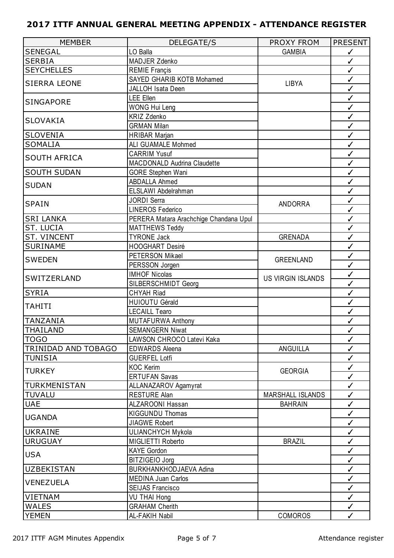| <b>MEMBER</b>              | <b>DELEGATE/S</b>                      | <b>PROXY FROM</b>        | <b>PRESENT</b> |
|----------------------------|----------------------------------------|--------------------------|----------------|
| <b>SENEGAL</b>             | LO Balla                               | <b>GAMBIA</b>            | $\checkmark$   |
| <b>SERBIA</b>              | MADJER Zdenko                          |                          | $\checkmark$   |
| <b>SEYCHELLES</b>          | <b>REMIE Françis</b>                   |                          | $\checkmark$   |
|                            | SAYED GHARIB KOTB Mohamed              |                          | $\checkmark$   |
| <b>SIERRA LEONE</b>        | JALLOH Isata Deen                      | LIBYA                    | $\checkmark$   |
| <b>SINGAPORE</b>           | <b>LEE Ellen</b>                       |                          | $\checkmark$   |
|                            | <b>WONG Hui Leng</b>                   |                          | $\checkmark$   |
| <b>SLOVAKIA</b>            | <b>KRIZ Zdenko</b>                     |                          | $\checkmark$   |
|                            | <b>GRMAN Milan</b>                     |                          | $\checkmark$   |
| <b>SLOVENIA</b>            | <b>HRIBAR Marjan</b>                   |                          | $\checkmark$   |
| <b>SOMALIA</b>             | ALI GUAMALE Mohmed                     |                          | $\checkmark$   |
| <b>SOUTH AFRICA</b>        | <b>CARRIM Yusuf</b>                    |                          | $\checkmark$   |
|                            | <b>MACDONALD Audrina Claudette</b>     |                          | $\checkmark$   |
| <b>SOUTH SUDAN</b>         | <b>GORE Stephen Wani</b>               |                          | $\checkmark$   |
| <b>SUDAN</b>               | <b>ABDALLA Ahmed</b>                   |                          | $\checkmark$   |
|                            | ELSLAWI Abdelrahman                    |                          | $\checkmark$   |
| <b>SPAIN</b>               | <b>JORDI Serra</b>                     | <b>ANDORRA</b>           | $\checkmark$   |
|                            | <b>LINEROS Federico</b>                |                          | ✓              |
| <b>SRI LANKA</b>           | PERERA Matara Arachchige Chandana Upul |                          | $\checkmark$   |
| ST. LUCIA                  | <b>MATTHEWS Teddy</b>                  |                          | $\checkmark$   |
| <b>ST. VINCENT</b>         | <b>TYRONE Jack</b>                     | <b>GRENADA</b>           | $\checkmark$   |
| <b>SURINAME</b>            | <b>HOOGHART Desiré</b>                 |                          | $\checkmark$   |
| <b>SWEDEN</b>              | PETERSON Mikael                        | <b>GREENLAND</b>         | $\checkmark$   |
|                            | PERSSON Jorgen                         |                          | $\checkmark$   |
| SWITZERLAND                | <b>IMHOF Nicolas</b>                   | <b>US VIRGIN ISLANDS</b> | $\checkmark$   |
|                            | SILBERSCHMIDT Georg                    |                          | $\checkmark$   |
| <b>SYRIA</b>               | <b>CHYAH Riad</b>                      |                          | $\checkmark$   |
| <b>TAHITI</b>              | <b>HUIOUTU Gérald</b>                  |                          | $\checkmark$   |
|                            | <b>LECAILL Tearo</b>                   |                          | $\checkmark$   |
| <b>TANZANIA</b>            | <b>MUTAFURWA Anthony</b>               |                          | $\checkmark$   |
| <b>THAILAND</b>            | <b>SEMANGERN Niwat</b>                 |                          | ✓              |
| <b>TOGO</b>                | LAWSON CHROCO Latevi Kaka              |                          | $\checkmark$   |
| <b>TRINIDAD AND TOBAGO</b> | <b>EDWARDS Aleena</b>                  | ANGUILLA                 | ✓              |
| <b>TUNISIA</b>             | <b>GUERFEL Lotfi</b>                   |                          | $\checkmark$   |
| <b>TURKEY</b>              | <b>KOC Kerim</b>                       | <b>GEORGIA</b>           | $\checkmark$   |
|                            | <b>ERTUFAN Savas</b>                   |                          | $\checkmark$   |
| TURKMENISTAN               | ALLANAZAROV Agamyrat                   |                          | $\checkmark$   |
| <b>TUVALU</b>              | <b>RESTURE Alan</b>                    | <b>MARSHALL ISLANDS</b>  | $\checkmark$   |
| <b>UAE</b>                 | <b>ALZAROONI Hassan</b>                | <b>BAHRAIN</b>           | $\checkmark$   |
| <b>UGANDA</b>              | KIGGUNDU Thomas                        |                          | $\checkmark$   |
|                            | <b>JIAGWE Robert</b>                   |                          | $\checkmark$   |
| <b>UKRAINE</b>             | <b>ULIANCHYCH Mykola</b>               |                          | $\checkmark$   |
| <b>URUGUAY</b>             | MIGLIETTI Roberto                      | <b>BRAZIL</b>            | $\checkmark$   |
| <b>USA</b>                 | <b>KAYE Gordon</b>                     |                          | $\checkmark$   |
|                            | BITZIGEIO Jorg                         |                          | $\checkmark$   |
| <b>UZBEKISTAN</b>          | BURKHANKHODJAEVA Adina                 |                          | $\checkmark$   |
| <b>VENEZUELA</b>           | <b>MEDINA Juan Carlos</b>              |                          | $\checkmark$   |
|                            | <b>SEIJAS Francisco</b>                |                          | $\checkmark$   |
| <b>VIETNAM</b>             | VU THAI Hong                           |                          | $\checkmark$   |
| <b>WALES</b>               | <b>GRAHAM Cherith</b>                  |                          | $\checkmark$   |
| <b>YEMEN</b>               | AL-FAKIH Nabil                         | <b>COMOROS</b>           | $\checkmark$   |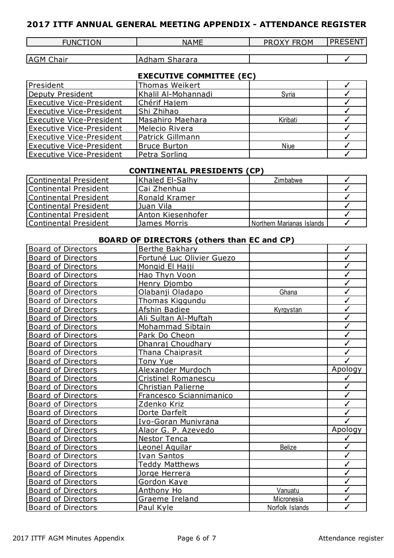| <b>FUNCT</b><br><b>ION</b> | <b>NAME</b> | <b>FROM</b><br>. .<br>$\cdot$ | -----<br>$\sim$ $\sim$<br>ΞN.<br>. |
|----------------------------|-------------|-------------------------------|------------------------------------|
|                            |             |                               |                                    |

| AGM<br>:hair | .<br>.<br>olidi di d |  |
|--------------|----------------------|--|

## **EXECUTIVE COMMITTEE (EC)**

| President                       | <b>Thomas Weikert</b> |          |  |
|---------------------------------|-----------------------|----------|--|
| Deputy President                | Khalil Al-Mohannadi   | Syria    |  |
| <b>Executive Vice-President</b> | Chérif Hajem          |          |  |
| <b>Executive Vice-President</b> | Shi Zhihao            |          |  |
| Executive Vice-President        | Masahiro Maehara      | Kiribati |  |
| Executive Vice-President        | Melecio Rivera        |          |  |
| Executive Vice-President        | Patrick Gillmann      |          |  |
| <b>Executive Vice-President</b> | <b>Bruce Burton</b>   | Niue     |  |
| <b>Executive Vice-President</b> | Petra Sorling         |          |  |

### **CONTINENTAL PRESIDENTS (CP)**

| Continental President | Khaled El-Salhy          | Zimbabwe                  |  |
|-----------------------|--------------------------|---------------------------|--|
| Continental President | lCai Zhenhua             |                           |  |
| Continental President | lRonald Kramer           |                           |  |
| Continental President | Juan Vila                |                           |  |
| Continental President | <b>Anton Kiesenhofer</b> |                           |  |
| Continental President | James Morris             | Northern Marianas Islands |  |

## **BOARD OF DIRECTORS (others than EC and CP)**

| <b>Board of Directors</b> | Berthe Bakhary             |                 | ✓            |
|---------------------------|----------------------------|-----------------|--------------|
| Board of Directors        | Fortuné Luc Olivier Guezo  |                 | $\checkmark$ |
| <b>Board of Directors</b> | Mongid El Hajji            |                 | $\checkmark$ |
| <b>Board of Directors</b> | Hao Thyn Voon              |                 | $\checkmark$ |
| <b>Board of Directors</b> | Henry Djombo               |                 | $\checkmark$ |
| <b>Board of Directors</b> | Olabanji Oladapo           | Ghana           | $\checkmark$ |
| <b>Board of Directors</b> | Thomas Kiggundu            |                 | $\checkmark$ |
| <b>Board of Directors</b> | Afshin Badiee              | Kyrgystan       | $\checkmark$ |
| <b>Board of Directors</b> | Ali Sultan Al-Muftah       |                 | $\checkmark$ |
| <b>Board of Directors</b> | Mohammad Sibtain           |                 | $\checkmark$ |
| <b>Board of Directors</b> | Park Do Cheon              |                 | $\checkmark$ |
| <b>Board of Directors</b> | Dhanraj Choudhary          |                 | $\checkmark$ |
| <b>Board of Directors</b> | Thana Chaiprasit           |                 | √            |
| <b>Board of Directors</b> | Tony Yue                   |                 | $\checkmark$ |
| <b>Board of Directors</b> | Alexander Murdoch          |                 | Apology      |
| <b>Board of Directors</b> | <b>Cristinel Romanescu</b> |                 | ✓            |
| <b>Board of Directors</b> | Christian Palierne         |                 | $\checkmark$ |
| <b>Board of Directors</b> | Francesco Sciannimanico    |                 | $\checkmark$ |
| <b>Board of Directors</b> | Zdenko Kriz                |                 | $\checkmark$ |
| <b>Board of Directors</b> | Dorte Darfelt              |                 | $\checkmark$ |
| <b>Board of Directors</b> | Ivo-Goran Munivrana        |                 | ✓            |
| <b>Board of Directors</b> | Alaor G. P. Azevedo        |                 | Apology      |
| <b>Board of Directors</b> | Nestor Tenca               |                 | ✓            |
| <b>Board of Directors</b> | Leonel Aguilar             | <b>Belize</b>   | $\checkmark$ |
| <b>Board of Directors</b> | <b>Ivan Santos</b>         |                 | $\checkmark$ |
| <b>Board of Directors</b> | <b>Teddy Matthews</b>      |                 | $\checkmark$ |
| <b>Board of Directors</b> | Jorge Herrera              |                 | $\checkmark$ |
| <b>Board of Directors</b> | Gordon Kaye                |                 | $\checkmark$ |
| <b>Board of Directors</b> | Anthony Ho                 | Vanuatu         | $\checkmark$ |
| <b>Board of Directors</b> | Graeme Ireland             | Micronesia      | $\checkmark$ |
| <b>Board of Directors</b> | Paul Kyle                  | Norfolk Islands | ✓            |